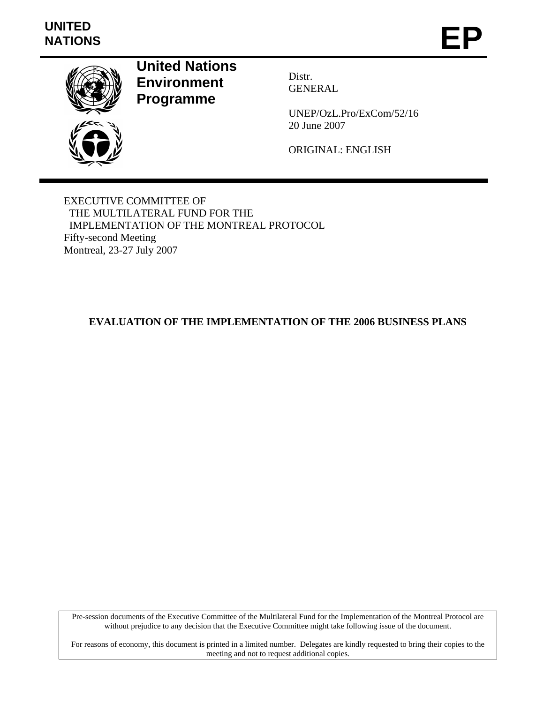# **UNITED**  UNITED<br>NATIONS **EP**



**United Nations Environment Programme** 

Distr. GENERAL

UNEP/OzL.Pro/ExCom/52/16 20 June 2007

ORIGINAL: ENGLISH

EXECUTIVE COMMITTEE OF THE MULTILATERAL FUND FOR THE IMPLEMENTATION OF THE MONTREAL PROTOCOL Fifty-second Meeting Montreal, 23-27 July 2007

# **EVALUATION OF THE IMPLEMENTATION OF THE 2006 BUSINESS PLANS**

Pre-session documents of the Executive Committee of the Multilateral Fund for the Implementation of the Montreal Protocol are without prejudice to any decision that the Executive Committee might take following issue of the document.

For reasons of economy, this document is printed in a limited number. Delegates are kindly requested to bring their copies to the meeting and not to request additional copies.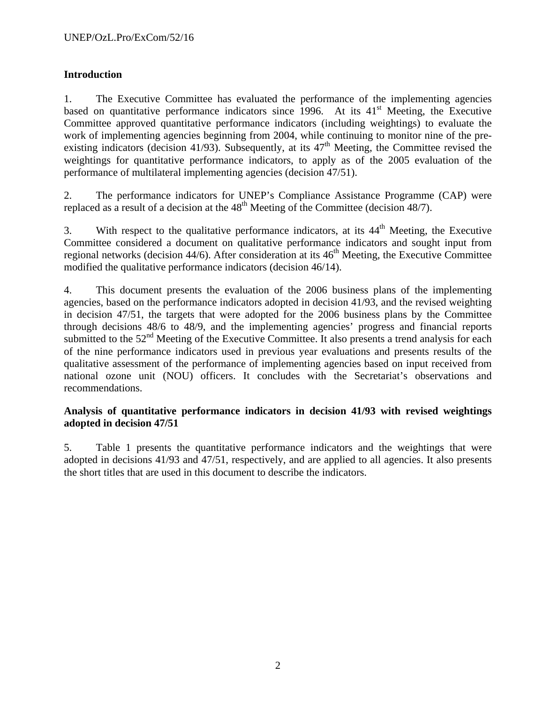# **Introduction**

1. The Executive Committee has evaluated the performance of the implementing agencies based on quantitative performance indicators since 1996. At its  $41<sup>st</sup>$  Meeting, the Executive Committee approved quantitative performance indicators (including weightings) to evaluate the work of implementing agencies beginning from 2004, while continuing to monitor nine of the preexisting indicators (decision 41/93). Subsequently, at its  $47<sup>th</sup>$  Meeting, the Committee revised the weightings for quantitative performance indicators, to apply as of the 2005 evaluation of the performance of multilateral implementing agencies (decision 47/51).

2. The performance indicators for UNEP's Compliance Assistance Programme (CAP) were replaced as a result of a decision at the  $48<sup>th</sup>$  Meeting of the Committee (decision  $48/7$ ).

3. With respect to the qualitative performance indicators, at its  $44<sup>th</sup>$  Meeting, the Executive Committee considered a document on qualitative performance indicators and sought input from regional networks (decision  $44/6$ ). After consideration at its  $46<sup>th</sup>$  Meeting, the Executive Committee modified the qualitative performance indicators (decision 46/14).

4. This document presents the evaluation of the 2006 business plans of the implementing agencies, based on the performance indicators adopted in decision 41/93, and the revised weighting in decision 47/51, the targets that were adopted for the 2006 business plans by the Committee through decisions 48/6 to 48/9, and the implementing agencies' progress and financial reports submitted to the 52<sup>nd</sup> Meeting of the Executive Committee. It also presents a trend analysis for each of the nine performance indicators used in previous year evaluations and presents results of the qualitative assessment of the performance of implementing agencies based on input received from national ozone unit (NOU) officers. It concludes with the Secretariat's observations and recommendations.

## **Analysis of quantitative performance indicators in decision 41/93 with revised weightings adopted in decision 47/51**

5. Table 1 presents the quantitative performance indicators and the weightings that were adopted in decisions 41/93 and 47/51, respectively, and are applied to all agencies. It also presents the short titles that are used in this document to describe the indicators.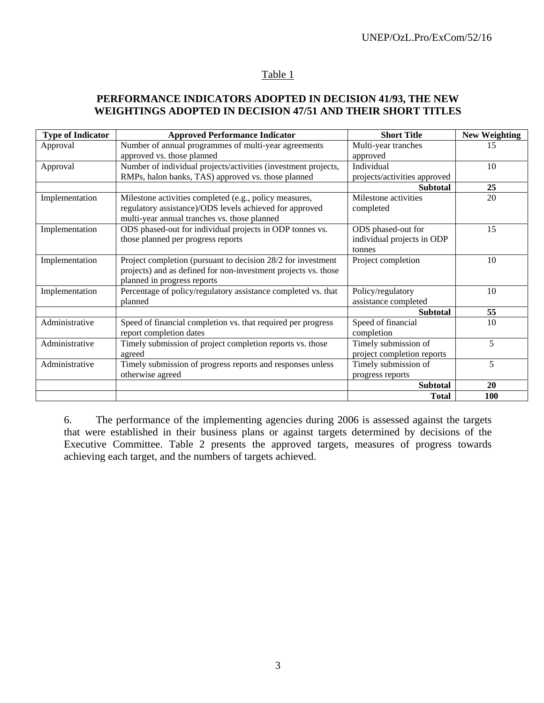#### Table 1

## **PERFORMANCE INDICATORS ADOPTED IN DECISION 41/93, THE NEW WEIGHTINGS ADOPTED IN DECISION 47/51 AND THEIR SHORT TITLES**

| <b>Type of Indicator</b> | <b>Approved Performance Indicator</b>                          | <b>Short Title</b>           | <b>New Weighting</b> |
|--------------------------|----------------------------------------------------------------|------------------------------|----------------------|
| Approval                 | Number of annual programmes of multi-year agreements           | Multi-year tranches          | 15                   |
|                          | approved vs. those planned                                     | approved                     |                      |
| Approval                 | Number of individual projects/activities (investment projects, | Individual                   | 10                   |
|                          | RMPs, halon banks, TAS) approved vs. those planned             | projects/activities approved |                      |
|                          |                                                                | <b>Subtotal</b>              | 25                   |
| Implementation           | Milestone activities completed (e.g., policy measures,         | Milestone activities         | 20                   |
|                          | regulatory assistance)/ODS levels achieved for approved        | completed                    |                      |
|                          | multi-year annual tranches vs. those planned                   |                              |                      |
| Implementation           | ODS phased-out for individual projects in ODP tonnes vs.       | ODS phased-out for           | 15                   |
|                          | those planned per progress reports                             | individual projects in ODP   |                      |
|                          |                                                                | tonnes                       |                      |
| Implementation           | Project completion (pursuant to decision 28/2 for investment   | Project completion           | 10                   |
|                          | projects) and as defined for non-investment projects vs. those |                              |                      |
|                          | planned in progress reports                                    |                              |                      |
| Implementation           | Percentage of policy/regulatory assistance completed vs. that  | Policy/regulatory            | 10                   |
|                          | planned                                                        | assistance completed         |                      |
|                          |                                                                | <b>Subtotal</b>              | 55                   |
| Administrative           | Speed of financial completion vs. that required per progress   | Speed of financial           | 10                   |
|                          | report completion dates                                        | completion                   |                      |
| Administrative           | Timely submission of project completion reports vs. those      | Timely submission of         | 5                    |
|                          | agreed                                                         | project completion reports   |                      |
| Administrative           | Timely submission of progress reports and responses unless     | Timely submission of         | 5                    |
|                          | otherwise agreed                                               | progress reports             |                      |
|                          |                                                                | <b>Subtotal</b>              | 20                   |
|                          |                                                                | <b>Total</b>                 | <b>100</b>           |

6. The performance of the implementing agencies during 2006 is assessed against the targets that were established in their business plans or against targets determined by decisions of the Executive Committee. Table 2 presents the approved targets, measures of progress towards achieving each target, and the numbers of targets achieved.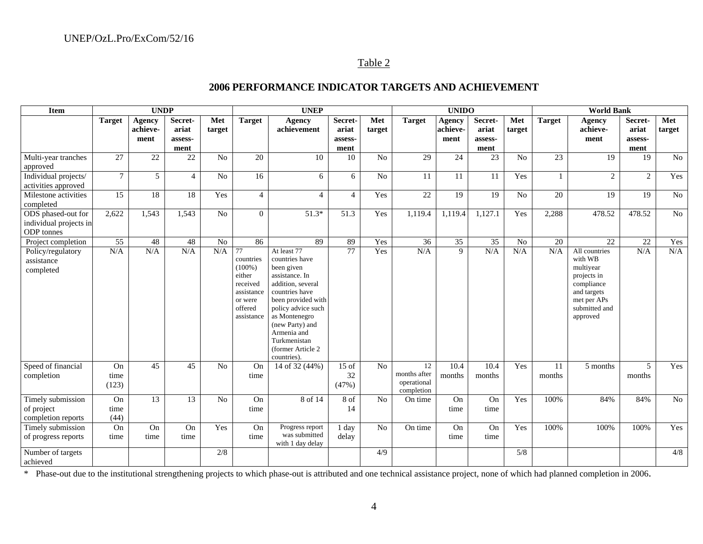#### Table 2

#### **2006 PERFORMANCE INDICATOR TARGETS AND ACHIEVEMENT**

| <b>Item</b>                                                       | <b>UNDP</b><br><b>UNEP</b> |                            |                                     |                |                                                                                                      |                                                                                                                                                                                                                                                          | <b>UNIDO</b>                        |                |                                                 | <b>World Bank</b>                 |                                     |                |               |                                                                                                                               |                                     |                 |
|-------------------------------------------------------------------|----------------------------|----------------------------|-------------------------------------|----------------|------------------------------------------------------------------------------------------------------|----------------------------------------------------------------------------------------------------------------------------------------------------------------------------------------------------------------------------------------------------------|-------------------------------------|----------------|-------------------------------------------------|-----------------------------------|-------------------------------------|----------------|---------------|-------------------------------------------------------------------------------------------------------------------------------|-------------------------------------|-----------------|
|                                                                   | <b>Target</b>              | Agency<br>achieve-<br>ment | Secret-<br>ariat<br>assess-<br>ment | Met<br>target  | <b>Target</b>                                                                                        | <b>Agency</b><br>achievement                                                                                                                                                                                                                             | Secret-<br>ariat<br>assess-<br>ment | Met<br>target  | <b>Target</b>                                   | <b>Agency</b><br>achieve-<br>ment | Secret-<br>ariat<br>assess-<br>ment | Met<br>target  | <b>Target</b> | <b>Agency</b><br>achieve-<br>ment                                                                                             | Secret-<br>ariat<br>assess-<br>ment | Met<br>target   |
| Multi-year tranches<br>approved                                   | 27                         | 22                         | 22                                  | No             | 20                                                                                                   | 10                                                                                                                                                                                                                                                       | 10                                  | N <sub>o</sub> | 29                                              | 24                                | 23                                  | N <sub>o</sub> | 23            | 19                                                                                                                            | 19                                  | $\overline{No}$ |
| Individual projects/<br>activities approved                       | $7\overline{ }$            | 5                          | $\overline{4}$                      | N <sub>o</sub> | 16                                                                                                   | 6                                                                                                                                                                                                                                                        | 6                                   | N <sub>o</sub> | 11                                              | 11                                | 11                                  | Yes            | $\mathbf{1}$  | $\overline{2}$                                                                                                                | 2                                   | Yes             |
| Milestone activities<br>completed                                 | 15                         | 18                         | 18                                  | Yes            | $\overline{4}$                                                                                       | $\overline{4}$                                                                                                                                                                                                                                           | $\overline{4}$                      | Yes            | $\overline{22}$                                 | 19                                | 19                                  | No             | 20            | 19                                                                                                                            | 19                                  | No              |
| ODS phased-out for<br>individual projects in<br><b>ODP</b> tonnes | 2,622                      | 1,543                      | 1,543                               | No             | $\overline{0}$                                                                                       | $51.3*$                                                                                                                                                                                                                                                  | 51.3                                | Yes            | 1,119.4                                         | 1,119.4                           | 1,127.1                             | Yes            | 2,288         | 478.52                                                                                                                        | 478.52                              | $\overline{No}$ |
| Project completion                                                | $\overline{55}$            | 48                         | 48                                  | No             | 86                                                                                                   | 89                                                                                                                                                                                                                                                       | 89                                  | Yes            | $\overline{36}$                                 | $\overline{35}$                   | $\overline{35}$                     | No             | 20            | 22                                                                                                                            | $\overline{22}$                     | Yes             |
| Policy/regulatory<br>assistance<br>completed                      | N/A                        | N/A                        | N/A                                 | N/A            | 77<br>countries<br>$(100\%)$<br>either<br>received<br>assistance<br>or were<br>offered<br>assistance | At least 77<br>countries have<br>been given<br>assistance. In<br>addition, several<br>countries have<br>been provided with<br>policy advice such<br>as Montenegro<br>(new Party) and<br>Armenia and<br>Turkmenistan<br>(former Article 2)<br>countries). | 77                                  | Yes            | N/A                                             | 9                                 | N/A                                 | N/A            | N/A           | All countries<br>with WB<br>multiyear<br>projects in<br>compliance<br>and targets<br>met per APs<br>submitted and<br>approved | N/A                                 | N/A             |
| Speed of financial<br>completion                                  | On<br>time<br>(123)        | 45                         | 45                                  | No             | On<br>time                                                                                           | 14 of 32 (44%)                                                                                                                                                                                                                                           | $15$ of<br>32<br>(47%)              | N <sub>o</sub> | 12<br>months after<br>operational<br>completion | 10.4<br>months                    | 10.4<br>months                      | Yes            | 11<br>months  | 5 months                                                                                                                      | 5<br>months                         | Yes             |
| Timely submission<br>of project<br>completion reports             | On<br>time<br>(44)         | 13                         | 13                                  | No             | On<br>time                                                                                           | 8 of 14                                                                                                                                                                                                                                                  | 8 of<br>14                          | N <sub>o</sub> | On time                                         | On<br>time                        | On<br>time                          | Yes            | 100%          | 84%                                                                                                                           | 84%                                 | No              |
| Timely submission<br>of progress reports                          | On<br>time                 | On<br>time                 | On<br>time                          | Yes            | On<br>time                                                                                           | Progress report<br>was submitted<br>with 1 day delay                                                                                                                                                                                                     | 1 day<br>delay                      | $\rm No$       | On time                                         | On<br>time                        | On<br>time                          | Yes            | 100%          | 100%                                                                                                                          | 100%                                | Yes             |
| Number of targets<br>achieved                                     |                            |                            |                                     | 2/8            |                                                                                                      |                                                                                                                                                                                                                                                          |                                     | 4/9            |                                                 |                                   |                                     | 5/8            |               |                                                                                                                               |                                     | 4/8             |

\* Phase-out due to the institutional strengthening projects to which phase-out is attributed and one technical assistance project, none of which had planned completion in 2006.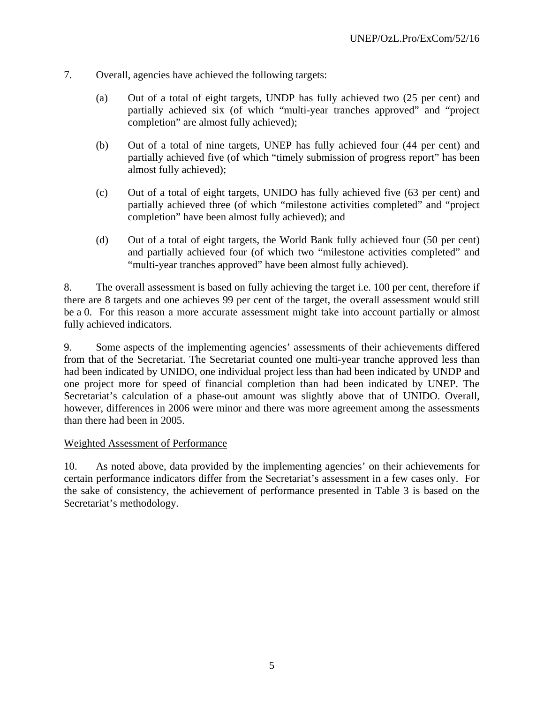- 7. Overall, agencies have achieved the following targets:
	- (a) Out of a total of eight targets, UNDP has fully achieved two (25 per cent) and partially achieved six (of which "multi-year tranches approved" and "project completion" are almost fully achieved);
	- (b) Out of a total of nine targets, UNEP has fully achieved four (44 per cent) and partially achieved five (of which "timely submission of progress report" has been almost fully achieved);
	- (c) Out of a total of eight targets, UNIDO has fully achieved five (63 per cent) and partially achieved three (of which "milestone activities completed" and "project completion" have been almost fully achieved); and
	- (d) Out of a total of eight targets, the World Bank fully achieved four (50 per cent) and partially achieved four (of which two "milestone activities completed" and "multi-year tranches approved" have been almost fully achieved).

8. The overall assessment is based on fully achieving the target i.e. 100 per cent, therefore if there are 8 targets and one achieves 99 per cent of the target, the overall assessment would still be a 0. For this reason a more accurate assessment might take into account partially or almost fully achieved indicators.

9. Some aspects of the implementing agencies' assessments of their achievements differed from that of the Secretariat. The Secretariat counted one multi-year tranche approved less than had been indicated by UNIDO, one individual project less than had been indicated by UNDP and one project more for speed of financial completion than had been indicated by UNEP. The Secretariat's calculation of a phase-out amount was slightly above that of UNIDO. Overall, however, differences in 2006 were minor and there was more agreement among the assessments than there had been in 2005.

## Weighted Assessment of Performance

10. As noted above, data provided by the implementing agencies' on their achievements for certain performance indicators differ from the Secretariat's assessment in a few cases only. For the sake of consistency, the achievement of performance presented in Table 3 is based on the Secretariat's methodology.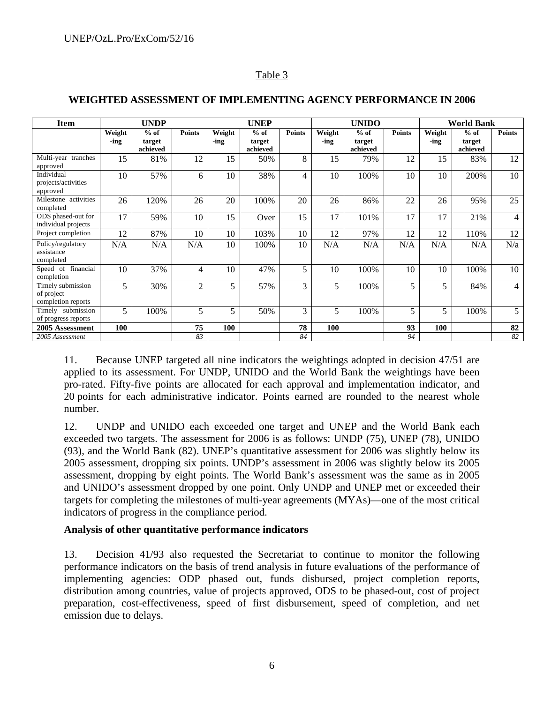## Table 3

| <b>Item</b>                                           |                | <b>UNDP</b>                  |                |                | <b>UNEP</b>                  |               |                | <b>UNIDO</b>                 |               | <b>World Bank</b> |                              |                |  |
|-------------------------------------------------------|----------------|------------------------------|----------------|----------------|------------------------------|---------------|----------------|------------------------------|---------------|-------------------|------------------------------|----------------|--|
|                                                       | Weight<br>-ing | $%$ of<br>target<br>achieved | <b>Points</b>  | Weight<br>-ing | $%$ of<br>target<br>achieved | <b>Points</b> | Weight<br>-ing | $%$ of<br>target<br>achieved | <b>Points</b> | Weight<br>-ing    | $%$ of<br>target<br>achieved | <b>Points</b>  |  |
| Multi-year tranches<br>approved                       | 15             | 81%                          | 12             | 15             | 50%                          | 8             | 15             | 79%                          | 12            | 15                | 83%                          | 12             |  |
| Individual<br>projects/activities<br>approved         | 10             | 57%                          | 6              | 10             | 38%                          | 4             | 10             | 100%                         | 10            | 10                | 200%                         | 10             |  |
| Milestone activities<br>completed                     | 26             | 120%                         | 26             | 20             | 100%                         | 20            | 26             | 86%                          | 22            | 26                | 95%                          | 25             |  |
| ODS phased-out for<br>individual projects             | 17             | 59%                          | 10             | 15             | Over                         | 15            | 17             | 101%                         | 17            | 17                | 21%                          | $\overline{4}$ |  |
| Project completion                                    | 12             | 87%                          | 10             | 10             | 103%                         | 10            | 12             | 97%                          | 12            | 12                | 110%                         | 12             |  |
| Policy/regulatory<br>assistance<br>completed          | N/A            | N/A                          | N/A            | 10             | 100%                         | 10            | N/A            | N/A                          | N/A           | N/A               | N/A                          | N/a            |  |
| Speed of financial<br>completion                      | 10             | 37%                          | 4              | 10             | 47%                          | 5             | 10             | 100%                         | 10            | 10                | 100%                         | 10             |  |
| Timely submission<br>of project<br>completion reports | 5              | 30%                          | $\overline{2}$ | 5              | 57%                          | 3             | 5              | 100%                         | 5             | 5                 | 84%                          | $\overline{4}$ |  |
| Timely submission<br>of progress reports              | 5              | 100%                         | 5              | 5              | 50%                          | 3             | 5              | 100%                         | 5             | 5                 | 100%                         | 5              |  |
| 2005 Assessment                                       | 100            |                              | 75             | 100            |                              | 78            | <b>100</b>     |                              | 93            | 100               |                              | 82             |  |
| 2005 Assessment                                       |                |                              | 83             |                |                              | 84            |                |                              | 94            |                   |                              | 82             |  |

## **WEIGHTED ASSESSMENT OF IMPLEMENTING AGENCY PERFORMANCE IN 2006**

11. Because UNEP targeted all nine indicators the weightings adopted in decision 47/51 are applied to its assessment. For UNDP, UNIDO and the World Bank the weightings have been pro-rated. Fifty-five points are allocated for each approval and implementation indicator, and 20 points for each administrative indicator. Points earned are rounded to the nearest whole number.

12. UNDP and UNIDO each exceeded one target and UNEP and the World Bank each exceeded two targets. The assessment for 2006 is as follows: UNDP (75), UNEP (78), UNIDO (93), and the World Bank (82). UNEP's quantitative assessment for 2006 was slightly below its 2005 assessment, dropping six points. UNDP's assessment in 2006 was slightly below its 2005 assessment, dropping by eight points. The World Bank's assessment was the same as in 2005 and UNIDO's assessment dropped by one point. Only UNDP and UNEP met or exceeded their targets for completing the milestones of multi-year agreements (MYAs)—one of the most critical indicators of progress in the compliance period.

## **Analysis of other quantitative performance indicators**

13. Decision 41/93 also requested the Secretariat to continue to monitor the following performance indicators on the basis of trend analysis in future evaluations of the performance of implementing agencies: ODP phased out, funds disbursed, project completion reports, distribution among countries, value of projects approved, ODS to be phased-out, cost of project preparation, cost-effectiveness, speed of first disbursement, speed of completion, and net emission due to delays.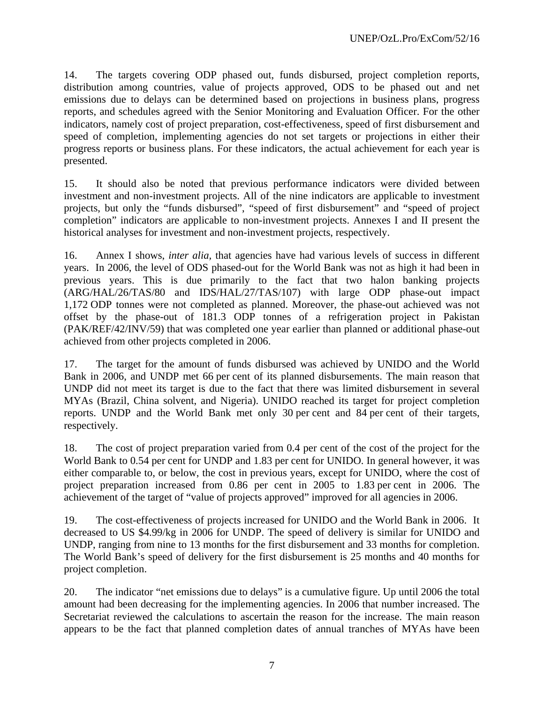14. The targets covering ODP phased out, funds disbursed, project completion reports, distribution among countries, value of projects approved, ODS to be phased out and net emissions due to delays can be determined based on projections in business plans, progress reports, and schedules agreed with the Senior Monitoring and Evaluation Officer. For the other indicators, namely cost of project preparation, cost-effectiveness, speed of first disbursement and speed of completion, implementing agencies do not set targets or projections in either their progress reports or business plans. For these indicators, the actual achievement for each year is presented.

15. It should also be noted that previous performance indicators were divided between investment and non-investment projects. All of the nine indicators are applicable to investment projects, but only the "funds disbursed", "speed of first disbursement" and "speed of project completion" indicators are applicable to non-investment projects. Annexes I and II present the historical analyses for investment and non-investment projects, respectively.

16. Annex I shows, *inter alia,* that agencies have had various levels of success in different years. In 2006, the level of ODS phased-out for the World Bank was not as high it had been in previous years. This is due primarily to the fact that two halon banking projects (ARG/HAL/26/TAS/80 and IDS/HAL/27/TAS/107) with large ODP phase-out impact 1,172 ODP tonnes were not completed as planned. Moreover, the phase-out achieved was not offset by the phase-out of 181.3 ODP tonnes of a refrigeration project in Pakistan (PAK/REF/42/INV/59) that was completed one year earlier than planned or additional phase-out achieved from other projects completed in 2006.

17. The target for the amount of funds disbursed was achieved by UNIDO and the World Bank in 2006, and UNDP met 66 per cent of its planned disbursements. The main reason that UNDP did not meet its target is due to the fact that there was limited disbursement in several MYAs (Brazil, China solvent, and Nigeria). UNIDO reached its target for project completion reports. UNDP and the World Bank met only 30 per cent and 84 per cent of their targets, respectively.

18. The cost of project preparation varied from 0.4 per cent of the cost of the project for the World Bank to 0.54 per cent for UNDP and 1.83 per cent for UNIDO. In general however, it was either comparable to, or below, the cost in previous years, except for UNIDO, where the cost of project preparation increased from 0.86 per cent in 2005 to 1.83 per cent in 2006. The achievement of the target of "value of projects approved" improved for all agencies in 2006.

19. The cost-effectiveness of projects increased for UNIDO and the World Bank in 2006. It decreased to US \$4.99/kg in 2006 for UNDP. The speed of delivery is similar for UNIDO and UNDP, ranging from nine to 13 months for the first disbursement and 33 months for completion. The World Bank's speed of delivery for the first disbursement is 25 months and 40 months for project completion.

20. The indicator "net emissions due to delays" is a cumulative figure. Up until 2006 the total amount had been decreasing for the implementing agencies. In 2006 that number increased. The Secretariat reviewed the calculations to ascertain the reason for the increase. The main reason appears to be the fact that planned completion dates of annual tranches of MYAs have been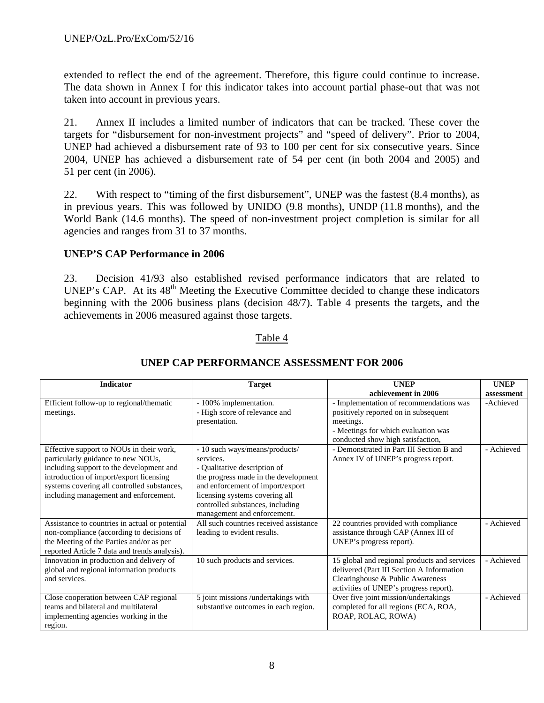extended to reflect the end of the agreement. Therefore, this figure could continue to increase. The data shown in Annex I for this indicator takes into account partial phase-out that was not taken into account in previous years.

21. Annex II includes a limited number of indicators that can be tracked. These cover the targets for "disbursement for non-investment projects" and "speed of delivery". Prior to 2004, UNEP had achieved a disbursement rate of 93 to 100 per cent for six consecutive years. Since 2004, UNEP has achieved a disbursement rate of 54 per cent (in both 2004 and 2005) and 51 per cent (in 2006).

22. With respect to "timing of the first disbursement", UNEP was the fastest (8.4 months), as in previous years. This was followed by UNIDO (9.8 months), UNDP (11.8 months), and the World Bank (14.6 months). The speed of non-investment project completion is similar for all agencies and ranges from 31 to 37 months.

## **UNEP'S CAP Performance in 2006**

23. Decision 41/93 also established revised performance indicators that are related to UNEP's CAP. At its  $48<sup>th</sup>$  Meeting the Executive Committee decided to change these indicators beginning with the 2006 business plans (decision 48/7). Table 4 presents the targets, and the achievements in 2006 measured against those targets.

#### Table 4

| <b>Indicator</b>                               | <b>Target</b>                          | <b>UNEP</b>                                  | <b>UNEP</b> |
|------------------------------------------------|----------------------------------------|----------------------------------------------|-------------|
|                                                |                                        | achievement in 2006                          | assessment  |
| Efficient follow-up to regional/thematic       | - 100% implementation.                 | - Implementation of recommendations was      | -Achieved   |
| meetings.                                      | - High score of relevance and          | positively reported on in subsequent         |             |
|                                                | presentation.                          | meetings.                                    |             |
|                                                |                                        | - Meetings for which evaluation was          |             |
|                                                |                                        | conducted show high satisfaction,            |             |
| Effective support to NOUs in their work,       | - 10 such ways/means/products/         | - Demonstrated in Part III Section B and     | - Achieved  |
| particularly guidance to new NOUs,             | services.                              | Annex IV of UNEP's progress report.          |             |
| including support to the development and       | - Qualitative description of           |                                              |             |
| introduction of import/export licensing        | the progress made in the development   |                                              |             |
| systems covering all controlled substances,    | and enforcement of import/export       |                                              |             |
| including management and enforcement.          | licensing systems covering all         |                                              |             |
|                                                | controlled substances, including       |                                              |             |
|                                                | management and enforcement.            |                                              |             |
| Assistance to countries in actual or potential | All such countries received assistance | 22 countries provided with compliance        | - Achieved  |
| non-compliance (according to decisions of      | leading to evident results.            | assistance through CAP (Annex III of         |             |
| the Meeting of the Parties and/or as per       |                                        | UNEP's progress report).                     |             |
| reported Article 7 data and trends analysis).  |                                        |                                              |             |
| Innovation in production and delivery of       | 10 such products and services.         | 15 global and regional products and services | - Achieved  |
| global and regional information products       |                                        | delivered (Part III Section A Information    |             |
| and services.                                  |                                        | Clearinghouse & Public Awareness             |             |
|                                                |                                        | activities of UNEP's progress report).       |             |
| Close cooperation between CAP regional         | 5 joint missions /undertakings with    | Over five joint mission/undertakings         | - Achieved  |
| teams and bilateral and multilateral           | substantive outcomes in each region.   | completed for all regions (ECA, ROA,         |             |
| implementing agencies working in the           |                                        | ROAP, ROLAC, ROWA)                           |             |
| region.                                        |                                        |                                              |             |

## **UNEP CAP PERFORMANCE ASSESSMENT FOR 2006**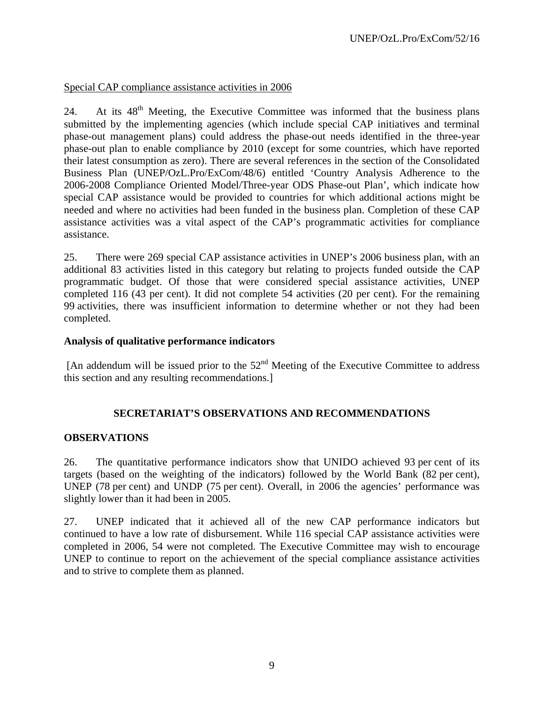## Special CAP compliance assistance activities in 2006

24. At its 48<sup>th</sup> Meeting, the Executive Committee was informed that the business plans submitted by the implementing agencies (which include special CAP initiatives and terminal phase-out management plans) could address the phase-out needs identified in the three-year phase-out plan to enable compliance by 2010 (except for some countries, which have reported their latest consumption as zero). There are several references in the section of the Consolidated Business Plan (UNEP/OzL.Pro/ExCom/48/6) entitled 'Country Analysis Adherence to the 2006-2008 Compliance Oriented Model/Three-year ODS Phase-out Plan', which indicate how special CAP assistance would be provided to countries for which additional actions might be needed and where no activities had been funded in the business plan. Completion of these CAP assistance activities was a vital aspect of the CAP's programmatic activities for compliance assistance.

25. There were 269 special CAP assistance activities in UNEP's 2006 business plan, with an additional 83 activities listed in this category but relating to projects funded outside the CAP programmatic budget. Of those that were considered special assistance activities, UNEP completed 116 (43 per cent). It did not complete 54 activities (20 per cent). For the remaining 99 activities, there was insufficient information to determine whether or not they had been completed.

#### **Analysis of qualitative performance indicators**

[An addendum will be issued prior to the 52<sup>nd</sup> Meeting of the Executive Committee to address this section and any resulting recommendations.]

## **SECRETARIAT'S OBSERVATIONS AND RECOMMENDATIONS**

#### **OBSERVATIONS**

26. The quantitative performance indicators show that UNIDO achieved 93 per cent of its targets (based on the weighting of the indicators) followed by the World Bank (82 per cent), UNEP (78 per cent) and UNDP (75 per cent). Overall, in 2006 the agencies' performance was slightly lower than it had been in 2005.

27. UNEP indicated that it achieved all of the new CAP performance indicators but continued to have a low rate of disbursement. While 116 special CAP assistance activities were completed in 2006, 54 were not completed. The Executive Committee may wish to encourage UNEP to continue to report on the achievement of the special compliance assistance activities and to strive to complete them as planned.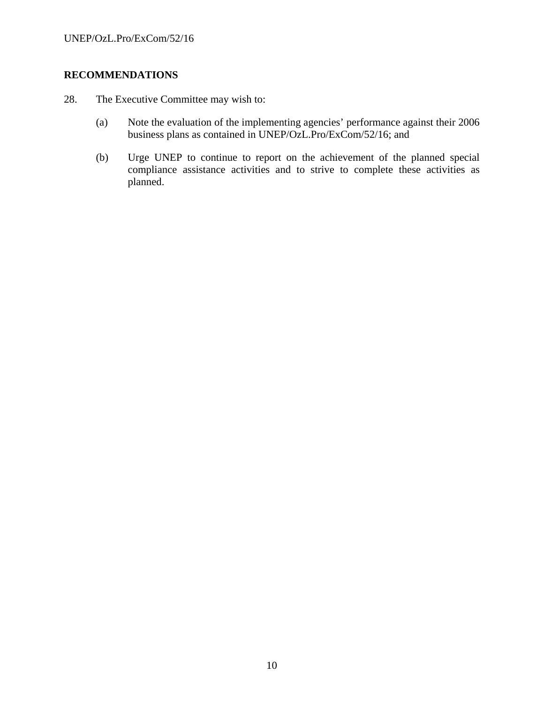# **RECOMMENDATIONS**

- 28. The Executive Committee may wish to:
	- (a) Note the evaluation of the implementing agencies' performance against their 2006 business plans as contained in UNEP/OzL.Pro/ExCom/52/16; and
	- (b) Urge UNEP to continue to report on the achievement of the planned special compliance assistance activities and to strive to complete these activities as planned.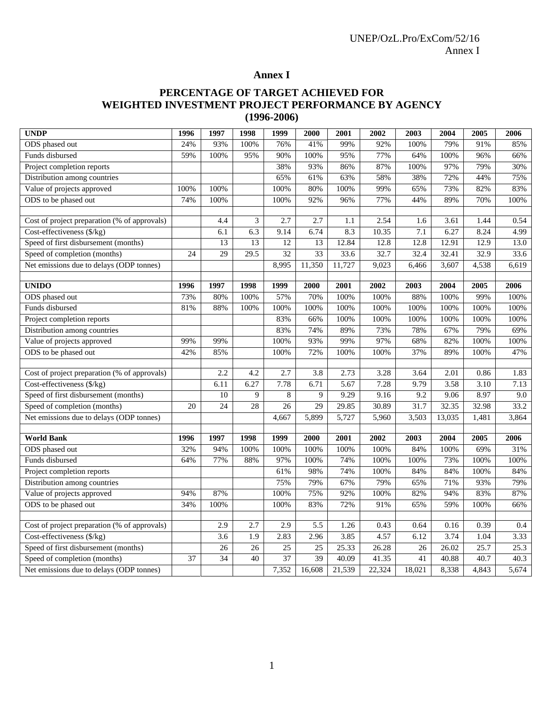# **Annex I**

# **PERCENTAGE OF TARGET ACHIEVED FOR WEIGHTED INVESTMENT PROJECT PERFORMANCE BY AGENCY (1996-2006)**

| <b>UNDP</b>                                                                | 1996            | 1997            | 1998              | 1999            | 2000            | 2001   | 2002   | 2003            | 2004   | 2005  | 2006  |
|----------------------------------------------------------------------------|-----------------|-----------------|-------------------|-----------------|-----------------|--------|--------|-----------------|--------|-------|-------|
| ODS phased out                                                             | 24%             | 93%             | 100%              | 76%             | 41%             | 99%    | 92%    | 100%            | 79%    | 91%   | 85%   |
| Funds disbursed                                                            | 59%             | 100%            | 95%               | 90%             | 100%            | 95%    | 77%    | 64%             | 100%   | 96%   | 66%   |
| Project completion reports                                                 |                 |                 |                   | 38%             | 93%             | 86%    | 87%    | 100%            | 97%    | 79%   | 30%   |
| Distribution among countries                                               |                 |                 |                   | 65%             | 61%             | 63%    | 58%    | 38%             | 72%    | 44%   | 75%   |
| Value of projects approved                                                 | 100%            | 100%            |                   | 100%            | 80%             | 100%   | 99%    | 65%             | 73%    | 82%   | 83%   |
| ODS to be phased out                                                       | 74%             | 100%            |                   | 100%            | 92%             | 96%    | 77%    | 44%             | 89%    | 70%   | 100%  |
|                                                                            |                 |                 |                   |                 |                 |        |        |                 |        |       |       |
| Cost of project preparation (% of approvals)                               |                 | 4.4             | 3                 | 2.7             | 2.7             | 1.1    | 2.54   | 1.6             | 3.61   | 1.44  | 0.54  |
| Cost-effectiveness (\$/kg)                                                 |                 | 6.1             | 6.3               | 9.14            | 6.74            | 8.3    | 10.35  | 7.1             | 6.27   | 8.24  | 4.99  |
| Speed of first disbursement (months)                                       |                 | $\overline{13}$ | $\overline{13}$   | $\overline{12}$ | $\overline{13}$ | 12.84  | 12.8   | 12.8            | 12.91  | 12.9  | 13.0  |
| Speed of completion (months)                                               | $\overline{24}$ | $\overline{29}$ | $\overline{29.5}$ | $\overline{32}$ | 33              | 33.6   | 32.7   | 32.4            | 32.41  | 32.9  | 33.6  |
| Net emissions due to delays (ODP tonnes)                                   |                 |                 |                   | 8,995           | 11,350          | 11,727 | 9,023  | 6,466           | 3,607  | 4,538 | 6,619 |
|                                                                            |                 |                 |                   |                 |                 |        |        |                 |        |       |       |
| <b>UNIDO</b>                                                               | 1996            | 1997            | 1998              | 1999            | 2000            | 2001   | 2002   | 2003            | 2004   | 2005  | 2006  |
| ODS phased out                                                             | 73%             | 80%             | 100%              | 57%             | 70%             | 100%   | 100%   | 88%             | 100%   | 99%   | 100%  |
| Funds disbursed                                                            | 81%             | 88%             | 100%              | 100%            | 100%            | 100%   | 100%   | 100%            | 100%   | 100%  | 100%  |
| Project completion reports                                                 |                 |                 |                   | 83%             | 66%             | 100%   | 100%   | 100%            | 100%   | 100%  | 100%  |
| Distribution among countries                                               |                 |                 |                   | 83%             | 74%             | 89%    | 73%    | 78%             | 67%    | 79%   | 69%   |
| Value of projects approved                                                 | 99%             | 99%             |                   | 100%            | 93%             | 99%    | 97%    | 68%             | 82%    | 100%  | 100%  |
| ODS to be phased out                                                       | 42%             | 85%             |                   | 100%            | 72%             | 100%   | 100%   | 37%             | 89%    | 100%  | 47%   |
|                                                                            |                 |                 |                   |                 |                 |        |        |                 |        |       |       |
| Cost of project preparation (% of approvals)                               |                 | 2.2             | 4.2               | 2.7             | 3.8             | 2.73   | 3.28   | 3.64            | 2.01   | 0.86  | 1.83  |
| Cost-effectiveness (\$/kg)                                                 |                 | 6.11            | 6.27              | 7.78            | 6.71            | 5.67   | 7.28   | 9.79            | 3.58   | 3.10  | 7.13  |
| Speed of first disbursement (months)                                       |                 | $\overline{10}$ | 9                 | $\,$ 8 $\,$     | 9               | 9.29   | 9.16   | 9.2             | 9.06   | 8.97  | 9.0   |
| Speed of completion (months)                                               | 20              | $\overline{24}$ | 28                | 26              | $\overline{29}$ | 29.85  | 30.89  | 31.7            | 32.35  | 32.98 | 33.2  |
| Net emissions due to delays (ODP tonnes)                                   |                 |                 |                   | 4,667           | 5,899           | 5,727  | 5,960  | 3,503           | 13,035 | 1,481 | 3,864 |
|                                                                            |                 |                 |                   |                 |                 |        |        |                 |        |       |       |
| <b>World Bank</b>                                                          | 1996            | 1997            | 1998              | 1999            | 2000            | 2001   | 2002   | 2003            | 2004   | 2005  | 2006  |
| ODS phased out                                                             | 32%             | 94%             | 100%              | 100%            | 100%            | 100%   | 100%   | 84%             | 100%   | 69%   | 31%   |
| Funds disbursed                                                            | 64%             | 77%             | 88%               | 97%             | 100%            | 74%    | 100%   | 100%            | 73%    | 100%  | 100%  |
| Project completion reports                                                 |                 |                 |                   | 61%             | 98%             | 74%    | 100%   | 84%             | 84%    | 100%  | 84%   |
| Distribution among countries                                               |                 |                 |                   | 75%             | 79%             | 67%    | 79%    | 65%             | 71%    | 93%   | 79%   |
| Value of projects approved                                                 | 94%             | 87%             |                   | 100%            | 75%             | 92%    | 100%   | 82%             | 94%    | 83%   | 87%   |
| ODS to be phased out                                                       | 34%             | 100%            |                   | 100%            | 83%             | 72%    | 91%    | 65%             | 59%    | 100%  | 66%   |
|                                                                            |                 | 2.9             | 2.7               | 2.9             | 5.5             | 1.26   | 0.43   | 0.64            | 0.16   | 0.39  | 0.4   |
| Cost of project preparation (% of approvals)<br>Cost-effectiveness (\$/kg) |                 | 3.6             | $\overline{1.9}$  | 2.83            | 2.96            | 3.85   | 4.57   | 6.12            | 3.74   | 1.04  | 3.33  |
| Speed of first disbursement (months)                                       |                 | $\overline{26}$ | $\overline{26}$   | $\overline{25}$ | $\overline{25}$ | 25.33  | 26.28  | $\overline{26}$ | 26.02  | 25.7  | 25.3  |
|                                                                            | 37              | $\overline{34}$ | 40                | $\overline{37}$ | $\overline{39}$ |        |        | 41              |        | 40.7  |       |
| Speed of completion (months)                                               |                 |                 |                   |                 |                 | 40.09  | 41.35  |                 | 40.88  |       | 40.3  |
| Net emissions due to delays (ODP tonnes)                                   |                 |                 |                   | 7,352           | 16,608          | 21,539 | 22,324 | 18,021          | 8,338  | 4,843 | 5,674 |